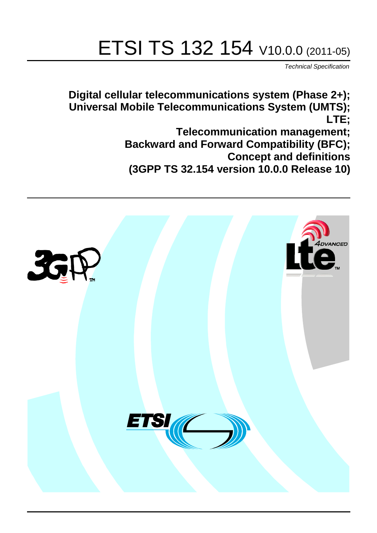# ETSI TS 132 154 V10.0.0 (2011-05)

*Technical Specification*

**Digital cellular telecommunications system (Phase 2+); Universal Mobile Telecommunications System (UMTS); LTE;**

> **Telecommunication management; Backward and Forward Compatibility (BFC); Concept and definitions (3GPP TS 32.154 version 10.0.0 Release 10)**

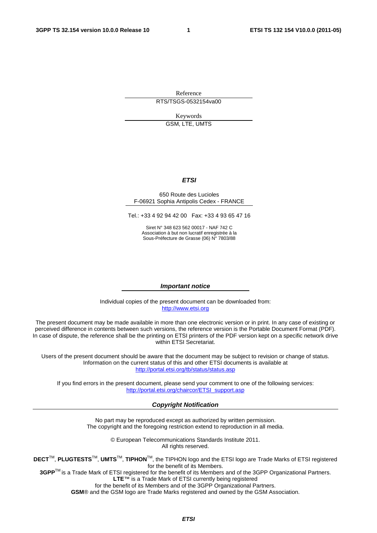Reference RTS/TSGS-0532154va00

Keywords

GSM, LTE, UMTS

#### *ETSI*

#### 650 Route des Lucioles F-06921 Sophia Antipolis Cedex - FRANCE

Tel.: +33 4 92 94 42 00 Fax: +33 4 93 65 47 16

Siret N° 348 623 562 00017 - NAF 742 C Association à but non lucratif enregistrée à la Sous-Préfecture de Grasse (06) N° 7803/88

#### *Important notice*

Individual copies of the present document can be downloaded from: [http://www.etsi.org](http://www.etsi.org/)

The present document may be made available in more than one electronic version or in print. In any case of existing or perceived difference in contents between such versions, the reference version is the Portable Document Format (PDF). In case of dispute, the reference shall be the printing on ETSI printers of the PDF version kept on a specific network drive within ETSI Secretariat.

Users of the present document should be aware that the document may be subject to revision or change of status. Information on the current status of this and other ETSI documents is available at <http://portal.etsi.org/tb/status/status.asp>

If you find errors in the present document, please send your comment to one of the following services: [http://portal.etsi.org/chaircor/ETSI\\_support.asp](http://portal.etsi.org/chaircor/ETSI_support.asp)

#### *Copyright Notification*

No part may be reproduced except as authorized by written permission. The copyright and the foregoing restriction extend to reproduction in all media.

> © European Telecommunications Standards Institute 2011. All rights reserved.

**DECT**TM, **PLUGTESTS**TM, **UMTS**TM, **TIPHON**TM, the TIPHON logo and the ETSI logo are Trade Marks of ETSI registered for the benefit of its Members.

**3GPP**TM is a Trade Mark of ETSI registered for the benefit of its Members and of the 3GPP Organizational Partners. **LTE**™ is a Trade Mark of ETSI currently being registered

for the benefit of its Members and of the 3GPP Organizational Partners.

**GSM**® and the GSM logo are Trade Marks registered and owned by the GSM Association.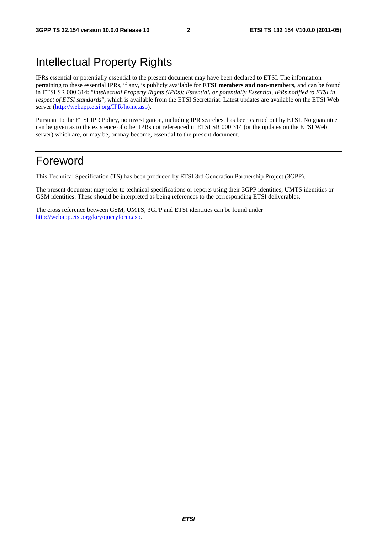### Intellectual Property Rights

IPRs essential or potentially essential to the present document may have been declared to ETSI. The information pertaining to these essential IPRs, if any, is publicly available for **ETSI members and non-members**, and can be found in ETSI SR 000 314: *"Intellectual Property Rights (IPRs); Essential, or potentially Essential, IPRs notified to ETSI in respect of ETSI standards"*, which is available from the ETSI Secretariat. Latest updates are available on the ETSI Web server [\(http://webapp.etsi.org/IPR/home.asp\)](http://webapp.etsi.org/IPR/home.asp).

Pursuant to the ETSI IPR Policy, no investigation, including IPR searches, has been carried out by ETSI. No guarantee can be given as to the existence of other IPRs not referenced in ETSI SR 000 314 (or the updates on the ETSI Web server) which are, or may be, or may become, essential to the present document.

### Foreword

This Technical Specification (TS) has been produced by ETSI 3rd Generation Partnership Project (3GPP).

The present document may refer to technical specifications or reports using their 3GPP identities, UMTS identities or GSM identities. These should be interpreted as being references to the corresponding ETSI deliverables.

The cross reference between GSM, UMTS, 3GPP and ETSI identities can be found under [http://webapp.etsi.org/key/queryform.asp.](http://webapp.etsi.org/key/queryform.asp)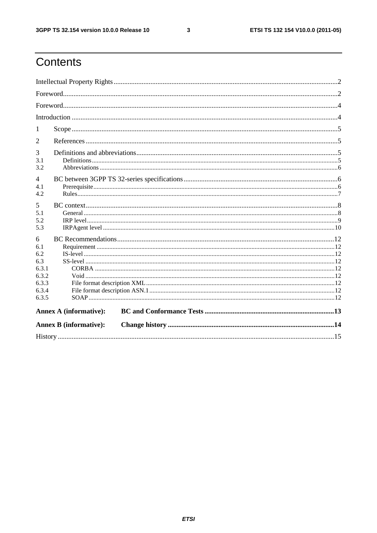$\mathbf{3}$ 

### Contents

| 1                     |                               |  |  |  |  |  |  |
|-----------------------|-------------------------------|--|--|--|--|--|--|
| 2                     |                               |  |  |  |  |  |  |
| 3                     |                               |  |  |  |  |  |  |
| 3.1<br>3.2            |                               |  |  |  |  |  |  |
|                       |                               |  |  |  |  |  |  |
| $\overline{4}$<br>4.1 |                               |  |  |  |  |  |  |
| 4.2                   |                               |  |  |  |  |  |  |
| 5                     |                               |  |  |  |  |  |  |
| 5.1                   |                               |  |  |  |  |  |  |
| 5.2                   |                               |  |  |  |  |  |  |
| 5.3                   |                               |  |  |  |  |  |  |
| 6                     |                               |  |  |  |  |  |  |
| 6.1                   |                               |  |  |  |  |  |  |
| 6.2                   |                               |  |  |  |  |  |  |
| 6.3                   |                               |  |  |  |  |  |  |
| 6.3.1<br>6.3.2        |                               |  |  |  |  |  |  |
| 6.3.3                 |                               |  |  |  |  |  |  |
| 6.3.4                 |                               |  |  |  |  |  |  |
| 6.3.5                 |                               |  |  |  |  |  |  |
|                       | <b>Annex A (informative):</b> |  |  |  |  |  |  |
|                       | <b>Annex B</b> (informative): |  |  |  |  |  |  |
|                       |                               |  |  |  |  |  |  |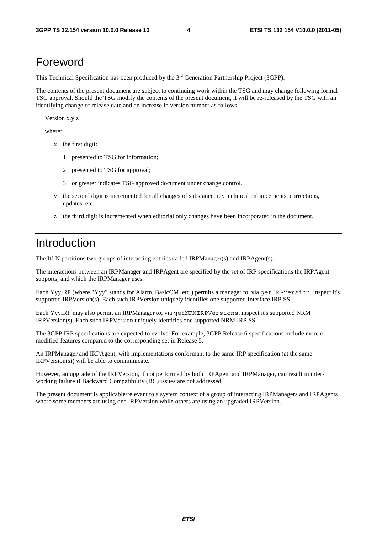### Foreword

This Technical Specification has been produced by the 3<sup>rd</sup> Generation Partnership Project (3GPP).

The contents of the present document are subject to continuing work within the TSG and may change following formal TSG approval. Should the TSG modify the contents of the present document, it will be re-released by the TSG with an identifying change of release date and an increase in version number as follows:

Version x.y.z

where:

- x the first digit:
	- 1 presented to TSG for information;
	- 2 presented to TSG for approval;
	- 3 or greater indicates TSG approved document under change control.
- y the second digit is incremented for all changes of substance, i.e. technical enhancements, corrections, updates, etc.
- z the third digit is incremented when editorial only changes have been incorporated in the document.

### Introduction

The Itf-N partitions two groups of interacting entities called IRPManager(s) and IRPAgent(s).

The interactions between an IRPManager and IRPAgent are specified by the set of IRP specifications the IRPAgent supports, and which the IRPManager uses.

Each YyyIRP (where "Yyy" stands for Alarm, BasicCM, etc.) permits a manager to, via getIRPVersion, inspect it's supported IRPVersion(s). Each such IRPVersion uniquely identifies one supported Interface IRP SS.

Each YyyIRP may also permit an IRPManager to, via getNRMIRPVersions, inspect it's supported NRM IRPVersion(s). Each such IRPVersion uniquely identifies one supported NRM IRP SS.

The 3GPP IRP specifications are expected to evolve. For example, 3GPP Release 6 specifications include more or modified features compared to the corresponding set in Release 5.

An IRPManager and IRPAgent, with implementations conformant to the same IRP specification (at the same IRPVersion(s)) will be able to communicate.

However, an upgrade of the IRPVersion, if not performed by both IRPAgent and IRPManager, can result in interworking failure if Backward Compatibility (BC) issues are not addressed.

The present document is applicable/relevant to a system context of a group of interacting IRPManagers and IRPAgents where some members are using one IRPVersion while others are using an upgraded IRPVersion.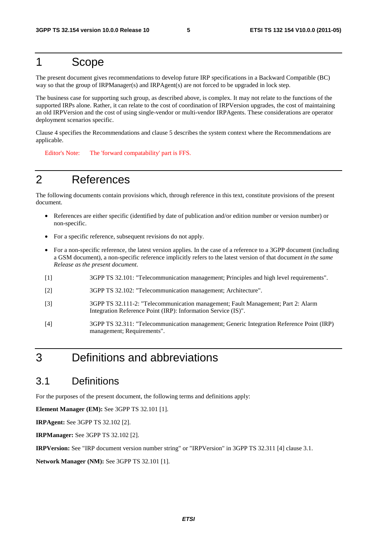### 1 Scope

The present document gives recommendations to develop future IRP specifications in a Backward Compatible (BC) way so that the group of IRPManager(s) and IRPAgent(s) are not forced to be upgraded in lock step.

The business case for supporting such group, as described above, is complex. It may not relate to the functions of the supported IRPs alone. Rather, it can relate to the cost of coordination of IRPVersion upgrades, the cost of maintaining an old IRPVersion and the cost of using single-vendor or multi-vendor IRPAgents. These considerations are operator deployment scenarios specific.

Clause 4 specifies the Recommendations and clause 5 describes the system context where the Recommendations are applicable.

Editor's Note: The 'forward compatability' part is FFS.

### 2 References

The following documents contain provisions which, through reference in this text, constitute provisions of the present document.

- References are either specific (identified by date of publication and/or edition number or version number) or non-specific.
- For a specific reference, subsequent revisions do not apply.
- For a non-specific reference, the latest version applies. In the case of a reference to a 3GPP document (including a GSM document), a non-specific reference implicitly refers to the latest version of that document *in the same Release as the present document*.
- [1] 3GPP TS 32.101: "Telecommunication management; Principles and high level requirements".
- [2] 3GPP TS 32.102: "Telecommunication management; Architecture".
- [3] 3GPP TS 32.111-2: "Telecommunication management; Fault Management; Part 2: Alarm Integration Reference Point (IRP): Information Service (IS)".
- [4] 3GPP TS 32.311: "Telecommunication management; Generic Integration Reference Point (IRP) management; Requirements".

### 3 Definitions and abbreviations

### 3.1 Definitions

For the purposes of the present document, the following terms and definitions apply:

**Element Manager (EM):** See 3GPP TS 32.101 [1].

**IRPAgent:** See 3GPP TS 32.102 [2].

**IRPManager:** See 3GPP TS 32.102 [2].

**IRPVersion:** See "IRP document version number string" or "IRPVersion" in 3GPP TS 32.311 [4] clause 3.1.

**Network Manager (NM):** See 3GPP TS 32.101 [1].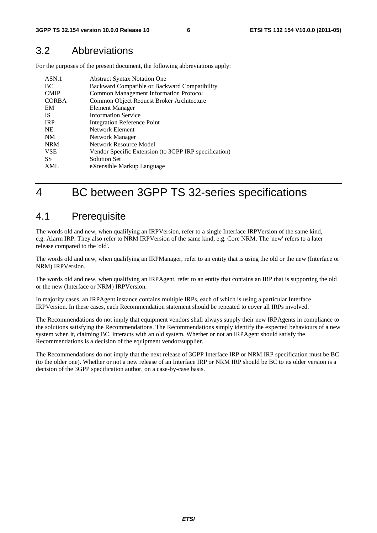### 3.2 Abbreviations

For the purposes of the present document, the following abbreviations apply:

| ASN.1        | <b>Abstract Syntax Notation One</b>                   |
|--------------|-------------------------------------------------------|
| BC           | Backward Compatible or Backward Compatibility         |
| <b>CMIP</b>  | <b>Common Management Information Protocol</b>         |
| <b>CORBA</b> | Common Object Request Broker Architecture             |
| EM           | Element Manager                                       |
| -IS          | <b>Information Service</b>                            |
| <b>IRP</b>   | <b>Integration Reference Point</b>                    |
| <b>NE</b>    | Network Element                                       |
| <b>NM</b>    | Network Manager                                       |
| <b>NRM</b>   | Network Resource Model                                |
| <b>VSE</b>   | Vendor Specific Extension (to 3GPP IRP specification) |
| SS           | <b>Solution Set</b>                                   |
| <b>XML</b>   | eXtensible Markup Language                            |

### 4 BC between 3GPP TS 32-series specifications

### 4.1 Prerequisite

The words old and new, when qualifying an IRPVersion, refer to a single Interface IRPVersion of the same kind, e.g. Alarm IRP. They also refer to NRM IRPVersion of the same kind, e.g. Core NRM. The 'new' refers to a later release compared to the 'old'.

The words old and new, when qualifying an IRPManager, refer to an entity that is using the old or the new (Interface or NRM) IRPVersion.

The words old and new, when qualifying an IRPAgent, refer to an entity that contains an IRP that is supporting the old or the new (Interface or NRM) IRPVersion.

In majority cases, an IRPAgent instance contains multiple IRPs, each of which is using a particular Interface IRPVersion. In these cases, each Recommendation statement should be repeated to cover all IRPs involved.

The Recommendations do not imply that equipment vendors shall always supply their new IRPAgents in compliance to the solutions satisfying the Recommendations. The Recommendations simply identify the expected behaviours of a new system when it, claiming BC, interacts with an old system. Whether or not an IRPAgent should satisfy the Recommendations is a decision of the equipment vendor/supplier.

The Recommendations do not imply that the next release of 3GPP Interface IRP or NRM IRP specification must be BC (to the older one). Whether or not a new release of an Interface IRP or NRM IRP should be BC to its older version is a decision of the 3GPP specification author, on a case-by-case basis.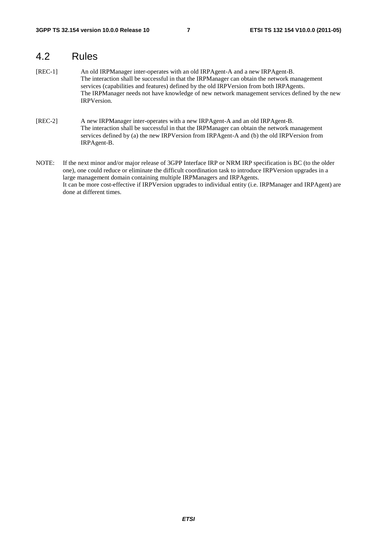### 4.2 Rules

- [REC-1] An old IRPManager inter-operates with an old IRPAgent-A and a new IRPAgent-B. The interaction shall be successful in that the IRPManager can obtain the network management services (capabilities and features) defined by the old IRPVersion from both IRPAgents. The IRPManager needs not have knowledge of new network management services defined by the new IRPVersion.
- [REC-2] A new IRPManager inter-operates with a new IRPAgent-A and an old IRPAgent-B. The interaction shall be successful in that the IRPManager can obtain the network management services defined by (a) the new IRPVersion from IRPAgent-A and (b) the old IRPVersion from IRPAgent-B.
- NOTE: If the next minor and/or major release of 3GPP Interface IRP or NRM IRP specification is BC (to the older one), one could reduce or eliminate the difficult coordination task to introduce IRPVersion upgrades in a large management domain containing multiple IRPManagers and IRPAgents. It can be more cost-effective if IRPVersion upgrades to individual entity (i.e. IRPManager and IRPAgent) are done at different times.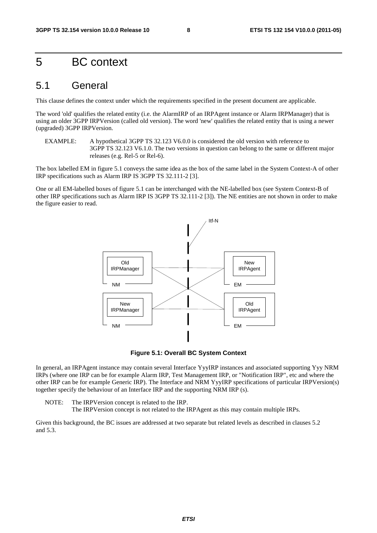### 5 BC context

#### 5.1 General

This clause defines the context under which the requirements specified in the present document are applicable.

The word 'old' qualifies the related entity (i.e. the AlarmIRP of an IRPAgent instance or Alarm IRPManager) that is using an older 3GPP IRPVersion (called old version). The word 'new' qualifies the related entity that is using a newer (upgraded) 3GPP IRPVersion.

EXAMPLE: A hypothetical 3GPP TS 32.123 V6.0.0 is considered the old version with reference to 3GPP TS 32.123 V6.1.0. The two versions in question can belong to the same or different major releases (e.g. Rel-5 or Rel-6).

The box labelled EM in figure 5.1 conveys the same idea as the box of the same label in the System Context-A of other IRP specifications such as Alarm IRP IS 3GPP TS 32.111-2 [3].

One or all EM-labelled boxes of figure 5.1 can be interchanged with the NE-labelled box (see System Context-B of other IRP specifications such as Alarm IRP IS 3GPP TS 32.111-2 [3]). The NE entities are not shown in order to make the figure easier to read.



**Figure 5.1: Overall BC System Context** 

In general, an IRPAgent instance may contain several Interface YyyIRP instances and associated supporting Yyy NRM IRPs (where one IRP can be for example Alarm IRP, Test Management IRP, or "Notification IRP", etc and where the other IRP can be for example Generic IRP). The Interface and NRM YyyIRP specifications of particular IRPVersion(s) together specify the behaviour of an Interface IRP and the supporting NRM IRP (s).

NOTE: The IRPVersion concept is related to the IRP. The IRPVersion concept is not related to the IRPAgent as this may contain multiple IRPs.

Given this background, the BC issues are addressed at two separate but related levels as described in clauses 5.2 and 5.3.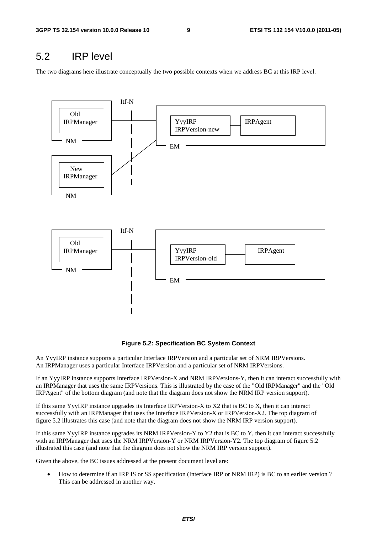### 5.2 IRP level

The two diagrams here illustrate conceptually the two possible contexts when we address BC at this IRP level.



**Figure 5.2: Specification BC System Context** 

An YyyIRP instance supports a particular Interface IRPVersion and a particular set of NRM IRPVersions. An IRPManager uses a particular Interface IRPVersion and a particular set of NRM IRPVersions.

If an YyyIRP instance supports Interface IRPVersion-X and NRM IRPVersions-Y, then it can interact successfully with an IRPManager that uses the same IRPVersions. This is illustrated by the case of the "Old IRPManager" and the "Old IRPAgent" of the bottom diagram (and note that the diagram does not show the NRM IRP version support).

If this same YyyIRP instance upgrades its Interface IRPVersion-X to X2 that is BC to X, then it can interact successfully with an IRPManager that uses the Interface IRPVersion-X or IRPVersion-X2. The top diagram of figure 5.2 illustrates this case (and note that the diagram does not show the NRM IRP version support).

If this same YyyIRP instance upgrades its NRM IRPVersion-Y to Y2 that is BC to Y, then it can interact successfully with an IRPManager that uses the NRM IRPVersion-Y or NRM IRPVersion-Y2. The top diagram of figure 5.2 illustrated this case (and note that the diagram does not show the NRM IRP version support).

Given the above, the BC issues addressed at the present document level are:

• How to determine if an IRP IS or SS specification (Interface IRP or NRM IRP) is BC to an earlier version ? This can be addressed in another way.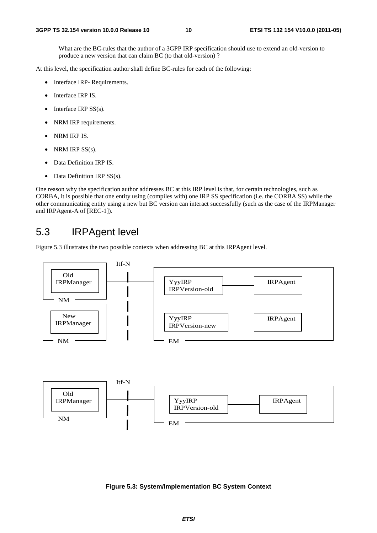What are the BC-rules that the author of a 3GPP IRP specification should use to extend an old-version to produce a new version that can claim BC (to that old-version) ?

At this level, the specification author shall define BC-rules for each of the following:

- Interface IRP- Requirements.
- Interface IRP IS.
- Interface IRP  $SS(s)$ .
- NRM IRP requirements.
- NRM IRP IS.
- NRM IRP  $SS(s)$ .
- Data Definition IRP IS.
- Data Definition IRP SS(s).

One reason why the specification author addresses BC at this IRP level is that, for certain technologies, such as CORBA, it is possible that one entity using (compiles with) one IRP SS specification (i.e. the CORBA SS) while the other communicating entity using a new but BC version can interact successfully (such as the case of the IRPManager and IRPAgent-A of [REC-1]).

### 5.3 IRPAgent level

Figure 5.3 illustrates the two possible contexts when addressing BC at this IRPAgent level.



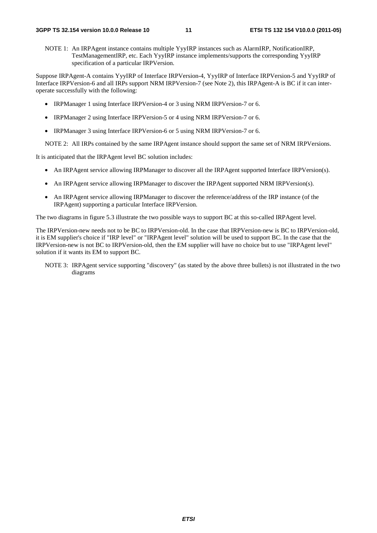NOTE 1: An IRPAgent instance contains multiple YyyIRP instances such as AlarmIRP, NotificationIRP, TestManagementIRP, etc. Each YyyIRP instance implements/supports the corresponding YyyIRP specification of a particular IRPVersion.

Suppose IRPAgent-A contains YyyIRP of Interface IRPVersion-4, YyyIRP of Interface IRPVersion-5 and YyyIRP of Interface IRPVersion-6 and all IRPs support NRM IRPVersion-7 (see Note 2), this IRPAgent-A is BC if it can interoperate successfully with the following:

- IRPManager 1 using Interface IRPVersion-4 or 3 using NRM IRPVersion-7 or 6.
- IRPManager 2 using Interface IRPVersion-5 or 4 using NRM IRPVersion-7 or 6.
- IRPManager 3 using Interface IRPVersion-6 or 5 using NRM IRPVersion-7 or 6.

NOTE 2: All IRPs contained by the same IRPAgent instance should support the same set of NRM IRPVersions.

It is anticipated that the IRPAgent level BC solution includes:

- An IRPAgent service allowing IRPManager to discover all the IRPAgent supported Interface IRPVersion(s).
- An IRPAgent service allowing IRPManager to discover the IRPAgent supported NRM IRPVersion(s).
- An IRPAgent service allowing IRPManager to discover the reference/address of the IRP instance (of the IRPAgent) supporting a particular Interface IRPVersion.

The two diagrams in figure 5.3 illustrate the two possible ways to support BC at this so-called IRPAgent level.

The IRPVersion-new needs not to be BC to IRPVersion-old. In the case that IRPVersion-new is BC to IRPVersion-old, it is EM supplier's choice if "IRP level" or "IRPAgent level" solution will be used to support BC. In the case that the IRPVersion-new is not BC to IRPVersion-old, then the EM supplier will have no choice but to use "IRPAgent level" solution if it wants its EM to support BC.

NOTE 3: IRPAgent service supporting "discovery" (as stated by the above three bullets) is not illustrated in the two diagrams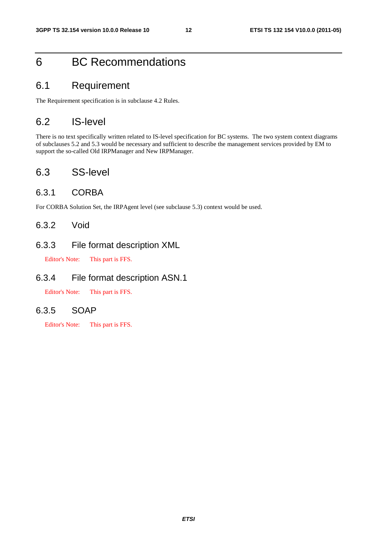### 6 BC Recommendations

### 6.1 Requirement

The Requirement specification is in subclause 4.2 Rules.

### 6.2 IS-level

There is no text specifically written related to IS-level specification for BC systems. The two system context diagrams of subclauses 5.2 and 5.3 would be necessary and sufficient to describe the management services provided by EM to support the so-called Old IRPManager and New IRPManager.

### 6.3 SS-level

#### 6.3.1 CORBA

For CORBA Solution Set, the IRPAgent level (see subclause 5.3) context would be used.

#### 6.3.2 Void

#### 6.3.3 File format description XML

Editor's Note: This part is FFS.

#### 6.3.4 File format description ASN.1

Editor's Note: This part is FFS.

#### 6.3.5 SOAP

Editor's Note: This part is FFS.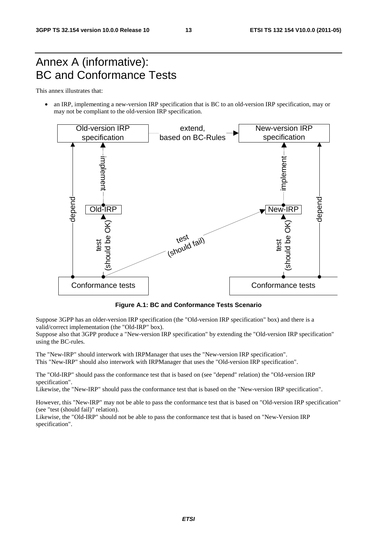### Annex A (informative): BC and Conformance Tests

This annex illustrates that:

• an IRP, implementing a new-version IRP specification that is BC to an old-version IRP specification, may or may not be compliant to the old-version IRP specification.



**Figure A.1: BC and Conformance Tests Scenario** 

Suppose 3GPP has an older-version IRP specification (the "Old-version IRP specification" box) and there is a valid/correct implementation (the "Old-IRP" box).

Suppose also that 3GPP produce a "New-version IRP specification" by extending the "Old-version IRP specification" using the BC-rules.

The "New-IRP" should interwork with IRPManager that uses the "New-version IRP specification". This "New-IRP" should also interwork with IRPManager that uses the "Old-version IRP specification".

The "Old-IRP" should pass the conformance test that is based on (see "depend" relation) the "Old-version IRP specification".

Likewise, the "New-IRP" should pass the conformance test that is based on the "New-version IRP specification".

However, this "New-IRP" may not be able to pass the conformance test that is based on "Old-version IRP specification" (see "test (should fail)" relation).

Likewise, the "Old-IRP" should not be able to pass the conformance test that is based on "New-Version IRP specification".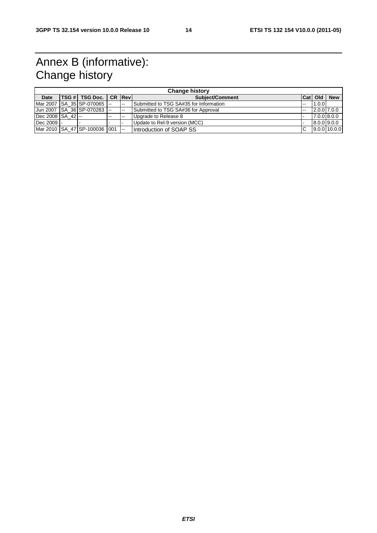### Annex B (informative): Change history

| <b>Change history</b>   |  |                                   |       |        |                                        |    |                  |              |  |
|-------------------------|--|-----------------------------------|-------|--------|----------------------------------------|----|------------------|--------------|--|
| <b>Date</b>             |  | <b>TSG #I TSG Doc. I CR IRevI</b> |       |        | Subject/Comment                        |    | <b>Cat   Old</b> | <b>New</b>   |  |
|                         |  | Mar 2007   SA 35   SP-070065  --  |       | $-$    | Submitted to TSG SA#35 for Information | -- | 1.0.0            |              |  |
|                         |  | Jun 2007   SA 36 SP-070283  --    |       | --     | Submitted to TSG SA#36 for Approval    | -- | $2.0.0$ 7.0.0    |              |  |
| $ Dec 2008   SA 42 $ -- |  |                                   | $- -$ | $-$    | Upgrade to Release 8                   |    |                  | 7.0.0 8.0.0  |  |
| Dec 2009 -              |  |                                   |       |        | Update to Rel-9 version (MCC)          |    | 8.0.0 9.0.0      |              |  |
|                         |  | Mar 2010 SA 47 SP-100036 001      |       | $\sim$ | Introduction of SOAP SS                | C  |                  | 9.0.0110.0.0 |  |